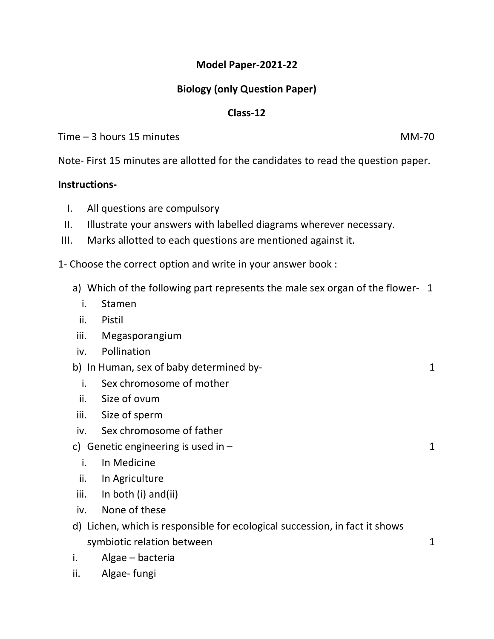## **Model Paper-2021-22**

## **Biology (only Question Paper)**

## **Class-12**

Time – 3 hours 15 minutes MM-70

Note- First 15 minutes are allotted for the candidates to read the question paper.

## **Instructions-**

- I. All questions are compulsory
- II. Illustrate your answers with labelled diagrams wherever necessary.
- III. Marks allotted to each questions are mentioned against it.

1- Choose the correct option and write in your answer book :

- a) Which of the following part represents the male sex organ of the flower- 1
	- i. Stamen
	- ii. Pistil
- iii. Megasporangium
- iv. Pollination
- b) In Human, sex of baby determined by-<br>
1
	- i. Sex chromosome of mother
	- ii. Size of ovum
- iii. Size of sperm
- iv. Sex chromosome of father
- c) Genetic engineering is used in  $-$  1
	- i. In Medicine
	- ii. In Agriculture
- iii. In both (i) and(ii)
- iv. None of these
- d) Lichen, which is responsible for ecological succession, in fact it shows symbiotic relation between 1
- i. Algae bacteria
- ii. Algae- fungi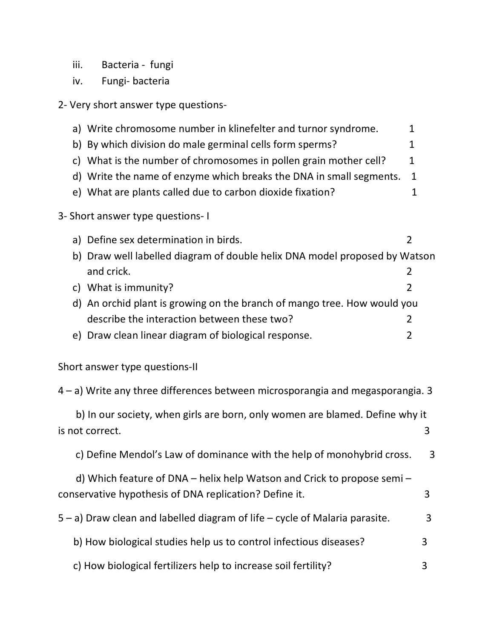- iii. Bacteria fungi
- iv. Fungi- bacteria
- 2- Very short answer type questions-

|                                                                                | a) Write chromosome number in klinefelter and turnor syndrome.<br>b) By which division do male germinal cells form sperms?<br>c) What is the number of chromosomes in pollen grain mother cell?<br>d) Write the name of enzyme which breaks the DNA in small segments.<br>e) What are plants called due to carbon dioxide fixation? | 1<br>$\mathbf 1$<br>$\mathbf{1}$<br>$\mathbf{1}$<br>1 |  |  |
|--------------------------------------------------------------------------------|-------------------------------------------------------------------------------------------------------------------------------------------------------------------------------------------------------------------------------------------------------------------------------------------------------------------------------------|-------------------------------------------------------|--|--|
|                                                                                | 3- Short answer type questions- I                                                                                                                                                                                                                                                                                                   |                                                       |  |  |
|                                                                                | a) Define sex determination in birds.<br>$\overline{2}$<br>b) Draw well labelled diagram of double helix DNA model proposed by Watson<br>and crick.<br>2                                                                                                                                                                            |                                                       |  |  |
|                                                                                | c) What is immunity?<br>$\overline{2}$                                                                                                                                                                                                                                                                                              |                                                       |  |  |
|                                                                                | d) An orchid plant is growing on the branch of mango tree. How would you                                                                                                                                                                                                                                                            |                                                       |  |  |
|                                                                                | describe the interaction between these two?<br>$\overline{2}$                                                                                                                                                                                                                                                                       |                                                       |  |  |
|                                                                                | e) Draw clean linear diagram of biological response.<br>2                                                                                                                                                                                                                                                                           |                                                       |  |  |
|                                                                                | Short answer type questions-II                                                                                                                                                                                                                                                                                                      |                                                       |  |  |
| 4 – a) Write any three differences between microsporangia and megasporangia. 3 |                                                                                                                                                                                                                                                                                                                                     |                                                       |  |  |
|                                                                                | b) In our society, when girls are born, only women are blamed. Define why it<br>is not correct.                                                                                                                                                                                                                                     | 3                                                     |  |  |
|                                                                                | c) Define Mendol's Law of dominance with the help of monohybrid cross.                                                                                                                                                                                                                                                              | 3                                                     |  |  |
|                                                                                | d) Which feature of DNA – helix help Watson and Crick to propose semi –<br>conservative hypothesis of DNA replication? Define it.                                                                                                                                                                                                   | 3                                                     |  |  |
|                                                                                | 5 - a) Draw clean and labelled diagram of life - cycle of Malaria parasite.                                                                                                                                                                                                                                                         | 3                                                     |  |  |
|                                                                                | b) How biological studies help us to control infectious diseases?                                                                                                                                                                                                                                                                   | 3                                                     |  |  |
|                                                                                | c) How biological fertilizers help to increase soil fertility?                                                                                                                                                                                                                                                                      | 3                                                     |  |  |